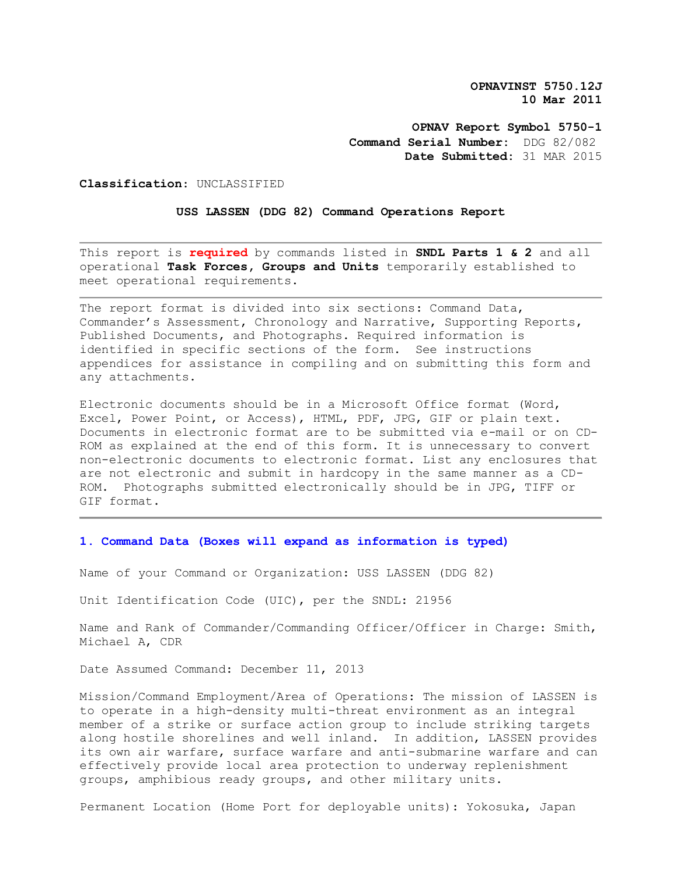**OPNAVINST 5750.12J 10 Mar 2011**

**OPNAV Report Symbol 5750-1 Command Serial Number:** DDG 82/082 **Date Submitted:** 31 MAR 2015

**Classification**: UNCLASSIFIED

**USS LASSEN (DDG 82) Command Operations Report** 

This report is **required** by commands listed in **SNDL Parts 1 & 2** and all operational **Task Forces, Groups and Units** temporarily established to meet operational requirements.

The report format is divided into six sections: Command Data, Commander's Assessment, Chronology and Narrative, Supporting Reports, Published Documents, and Photographs. Required information is identified in specific sections of the form. See instructions appendices for assistance in compiling and on submitting this form and any attachments.

Electronic documents should be in a Microsoft Office format (Word, Excel, Power Point, or Access), HTML, PDF, JPG, GIF or plain text. Documents in electronic format are to be submitted via e-mail or on CD-ROM as explained at the end of this form. It is unnecessary to convert non-electronic documents to electronic format. List any enclosures that are not electronic and submit in hardcopy in the same manner as a CD-ROM. Photographs submitted electronically should be in JPG, TIFF or GIF format.

# **1. Command Data (Boxes will expand as information is typed)**

Name of your Command or Organization: USS LASSEN (DDG 82)

Unit Identification Code (UIC), per the SNDL: 21956

Name and Rank of Commander/Commanding Officer/Officer in Charge: Smith, Michael A, CDR

Date Assumed Command: December 11, 2013

Mission/Command Employment/Area of Operations: The mission of LASSEN is to operate in a high-density multi-threat environment as an integral member of a strike or surface action group to include striking targets along hostile shorelines and well inland. In addition, LASSEN provides its own air warfare, surface warfare and anti-submarine warfare and can effectively provide local area protection to underway replenishment groups, amphibious ready groups, and other military units.

Permanent Location (Home Port for deployable units): Yokosuka, Japan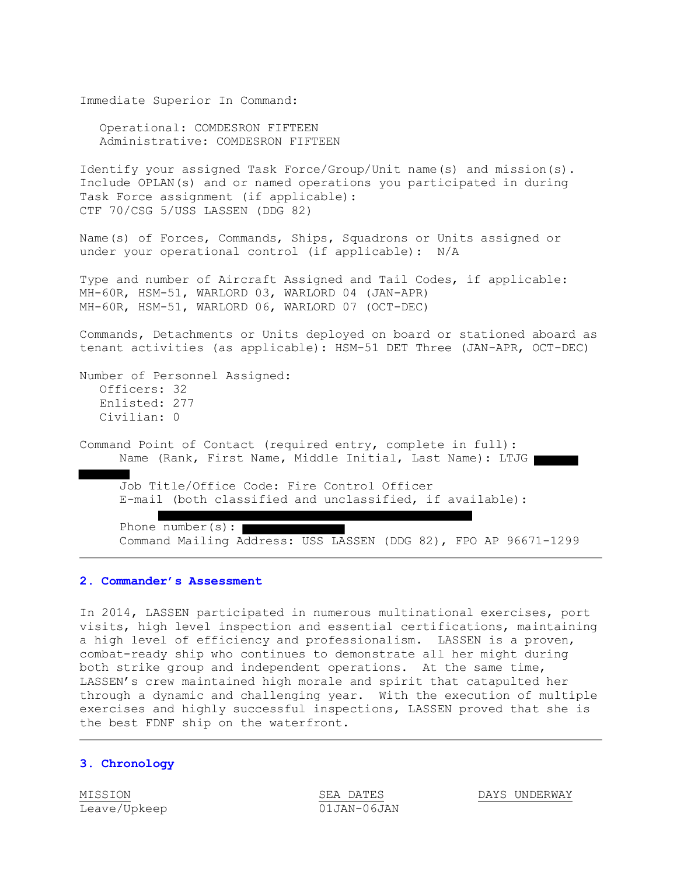Immediate Superior In Command:

Operational: COMDESRON FIFTEEN Administrative: COMDESRON FIFTEEN

Identify your assigned Task Force/Group/Unit name(s) and mission(s). Include OPLAN(s) and or named operations you participated in during Task Force assignment (if applicable): CTF 70/CSG 5/USS LASSEN (DDG 82)

Name(s) of Forces, Commands, Ships, Squadrons or Units assigned or under your operational control (if applicable): N/A

Type and number of Aircraft Assigned and Tail Codes, if applicable: MH-60R, HSM-51, WARLORD 03, WARLORD 04 (JAN-APR) MH-60R, HSM-51, WARLORD 06, WARLORD 07 (OCT-DEC)

Commands, Detachments or Units deployed on board or stationed aboard as tenant activities (as applicable): HSM-51 DET Three (JAN-APR, OCT-DEC)

```
Number of Personnel Assigned:
  Officers: 32 
  Enlisted: 277 
  Civilian: 0
```
Command Point of Contact (required entry, complete in full): Name (Rank, First Name, Middle Initial, Last Name): LTJG

Job Title/Office Code: Fire Control Officer E-mail (both classified and unclassified, if available):

Phone number(s): Command Mailing Address: USS LASSEN (DDG 82), FPO AP 96671-1299

#### **2. Commander's Assessment**

In 2014, LASSEN participated in numerous multinational exercises, port visits, high level inspection and essential certifications, maintaining a high level of efficiency and professionalism. LASSEN is a proven, combat-ready ship who continues to demonstrate all her might during both strike group and independent operations. At the same time, LASSEN's crew maintained high morale and spirit that catapulted her through a dynamic and challenging year. With the execution of multiple exercises and highly successful inspections, LASSEN proved that she is the best FDNF ship on the waterfront.

#### **3. Chronology**

Leave/Upkeep 01JAN-06JAN

MISSION SEA DATES DAYS UNDERWAY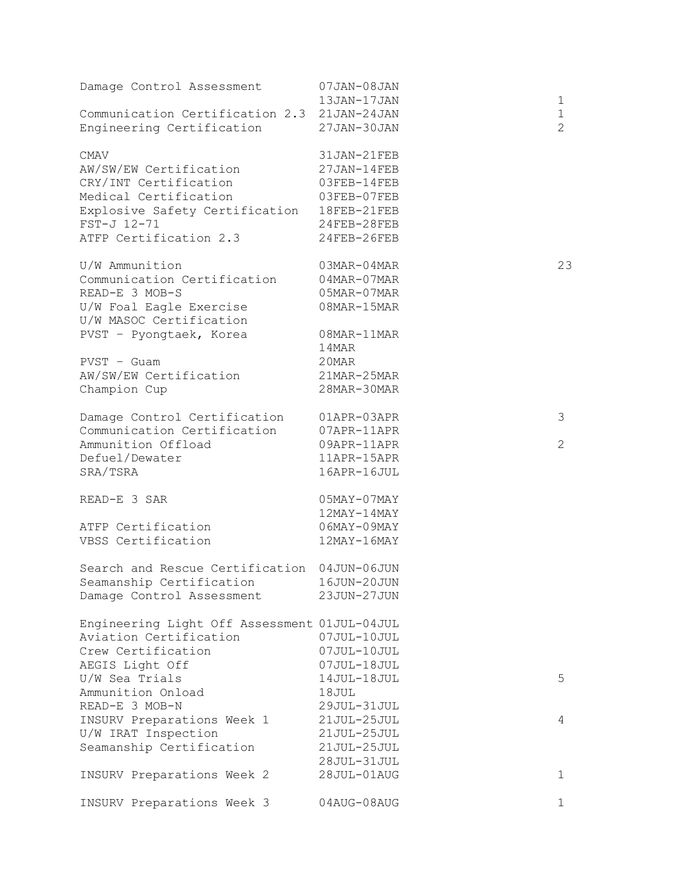| Damage Control Assessment                                                | 07JAN-08JAN<br>13JAN-17JAN |                               |
|--------------------------------------------------------------------------|----------------------------|-------------------------------|
|                                                                          |                            | 1                             |
| Communication Certification 2.3 21JAN-24JAN<br>Engineering Certification | 27JAN-30JAN                | $\mathbf 1$<br>$\overline{2}$ |
| <b>CMAV</b>                                                              | 31JAN-21FEB                |                               |
| AW/SW/EW Certification                                                   | 27JAN-14FEB                |                               |
| CRY/INT Certification                                                    | 03FEB-14FEB                |                               |
| Medical Certification                                                    | 03FEB-07FEB                |                               |
| Explosive Safety Certification                                           | 18FEB-21FEB                |                               |
| FST-J 12-71                                                              | $24$ FEB-28FEB             |                               |
| ATFP Certification 2.3                                                   | $24$ FEB-26FEB             |                               |
| U/W Ammunition                                                           | $03MAR-04MAR$              | 23                            |
| Communication Certification                                              | $04$ MAR- $07$ MAR         |                               |
| READ-E 3 MOB-S                                                           | 05MAR-07MAR                |                               |
| U/W Foal Eagle Exercise                                                  | 08MAR-15MAR                |                               |
| U/W MASOC Certification                                                  |                            |                               |
| PVST - Pyongtaek, Korea                                                  | 08MAR-11MAR                |                               |
|                                                                          | 14MAR                      |                               |
| $PVST - Guam$                                                            | 20MAR                      |                               |
| AW/SW/EW Certification                                                   | 21MAR-25MAR                |                               |
| Champion Cup                                                             | 28MAR-30MAR                |                               |
| Damage Control Certification                                             | 01APR-03APR                | 3                             |
| Communication Certification                                              | 07APR-11APR                |                               |
| Ammunition Offload                                                       | 09APR-11APR                | $\overline{2}$                |
| Defuel/Dewater                                                           | 11APR-15APR                |                               |
| SRA/TSRA                                                                 | 16APR-16JUL                |                               |
| READ-E 3 SAR                                                             | $05$ MAY-07MAY             |                               |
|                                                                          | $12$ MAY-14MAY             |                               |
| ATFP Certification                                                       | $06$ MAY-09MAY             |                               |
| VBSS Certification                                                       | $12$ MAY-16MAY             |                               |
| Search and Rescue Certification 04JUN-06JUN                              |                            |                               |
| Seamanship Certification                                                 | 16JUN-20JUN                |                               |
| Damage Control Assessment                                                | 23JUN-27JUN                |                               |
| Engineering Light Off Assessment 01JUL-04JUL                             |                            |                               |
| Aviation Certification                                                   | 07JUL-10JUL                |                               |
| Crew Certification                                                       | 07JUL-10JUL                |                               |
| AEGIS Light Off                                                          | 07JUL-18JUL                |                               |
| U/W Sea Trials                                                           | 14JUL-18JUL                | 5                             |
| Ammunition Onload                                                        | 18JUL                      |                               |
| READ-E 3 MOB-N                                                           | 29JUL-31JUL                |                               |
| INSURV Preparations Week 1                                               | 21JUL-25JUL                | 4                             |
| U/W IRAT Inspection                                                      | 21JUL-25JUL                |                               |
| Seamanship Certification                                                 | 21JUL-25JUL                |                               |
|                                                                          | 28JUL-31JUL                |                               |
| INSURV Preparations Week 2                                               | 28JUL-01AUG                | 1                             |
| INSURV Preparations Week 3                                               | 04AUG-08AUG                | 1                             |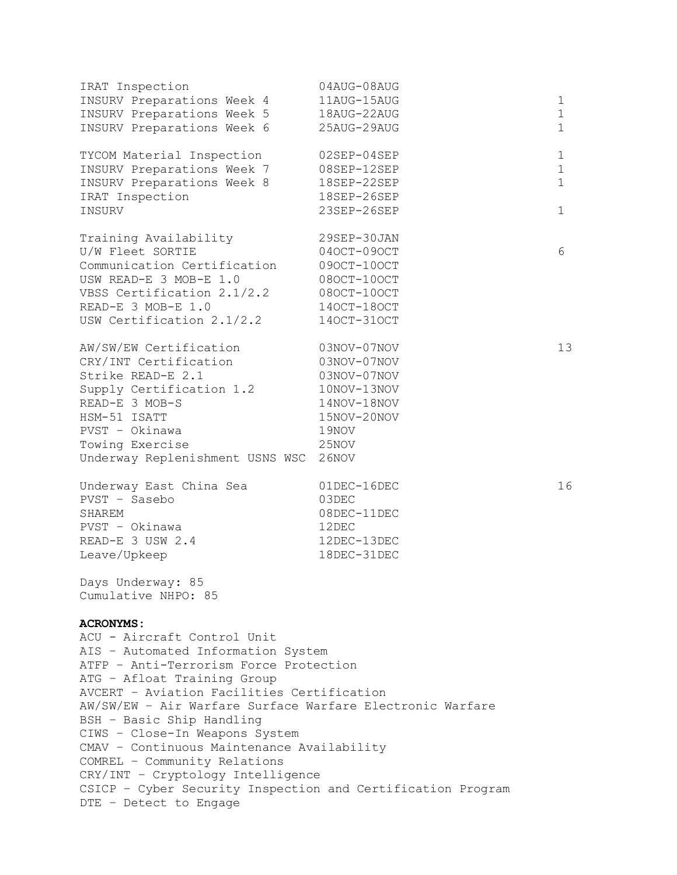| IRAT Inspection                                             | 04AUG-08AUG                |                            |
|-------------------------------------------------------------|----------------------------|----------------------------|
| INSURV Preparations Week 4                                  | 11AUG-15AUG                | 1                          |
| INSURV Preparations Week 5<br>INSURV Preparations Week 6    | 18AUG-22AUG<br>25AUG-29AUG | $\mathbf 1$<br>$\mathbf 1$ |
|                                                             |                            |                            |
| TYCOM Material Inspection                                   | 02SEP-04SEP                | 1                          |
| INSURV Preparations Week 7                                  | 08SEP-12SEP                | $\mathbf 1$                |
| INSURV Preparations Week 8                                  | 18SEP-22SEP                | $\mathbf{1}$               |
| IRAT Inspection                                             | 18SEP-26SEP                |                            |
| INSURV                                                      | 23SEP-26SEP                | $\mathbf 1$                |
| Training Availability                                       | 29SEP-30JAN                |                            |
| U/W Fleet SORTIE                                            | 040CT-090CT                | 6                          |
| Communication Certification                                 | 090CT-100CT                |                            |
| USW READ-E 3 MOB-E 1.0                                      | 080CT-100CT                |                            |
| VBSS Certification 2.1/2.2                                  | 080CT-100CT                |                            |
| READ-E 3 MOB-E 1.0                                          | 140CT-180CT                |                            |
| USW Certification 2.1/2.2                                   | 140CT-310CT                |                            |
|                                                             |                            |                            |
| AW/SW/EW Certification                                      | 03NOV-07NOV                | 13                         |
| CRY/INT Certification                                       | 03NOV-07NOV                |                            |
| Strike READ-E 2.1                                           | 03NOV-07NOV                |                            |
| Supply Certification 1.2                                    | 10NOV-13NOV                |                            |
| READ-E 3 MOB-S                                              | 14NOV-18NOV                |                            |
| HSM-51 ISATT<br>PVST - Okinawa                              | 15NOV-20NOV                |                            |
| Towing Exercise                                             | 19NOV                      |                            |
| Underway Replenishment USNS WSC                             | 25NOV<br>26NOV             |                            |
|                                                             |                            |                            |
| Underway East China Sea                                     | 01DEC-16DEC                | 16                         |
| PVST - Sasebo                                               | 03DEC                      |                            |
| SHAREM                                                      | 08DEC-11DEC                |                            |
| PVST - Okinawa                                              | 12DEC                      |                            |
| READ-E 3 USW 2.4                                            | 12DEC-13DEC                |                            |
| Leave/Upkeep                                                | 18DEC-31DEC                |                            |
| Days Underway: 85                                           |                            |                            |
| Cumulative NHPO: 85                                         |                            |                            |
| <b>ACRONYMS:</b>                                            |                            |                            |
| ACU - Aircraft Control Unit                                 |                            |                            |
| AIS - Automated Information System                          |                            |                            |
| ATFP - Anti-Terrorism Force Protection                      |                            |                            |
| ATG - Afloat Training Group                                 |                            |                            |
| AVCERT - Aviation Facilities Certification                  |                            |                            |
| AW/SW/EW - Air Warfare Surface Warfare Electronic Warfare   |                            |                            |
| BSH - Basic Ship Handling                                   |                            |                            |
| CIWS - Close-In Weapons System                              |                            |                            |
| CMAV - Continuous Maintenance Availability                  |                            |                            |
| COMREL - Community Relations                                |                            |                            |
| CRY/INT - Cryptology Intelligence                           |                            |                            |
| CSICP - Cyber Security Inspection and Certification Program |                            |                            |
| DTE - Detect to Engage                                      |                            |                            |
|                                                             |                            |                            |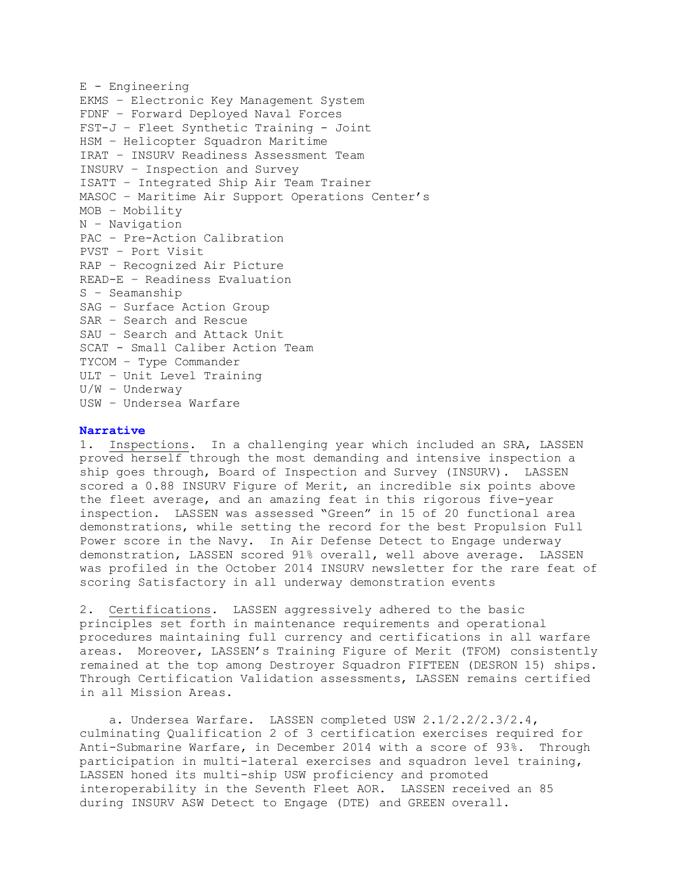```
E - Engineering
EKMS – Electronic Key Management System
FDNF – Forward Deployed Naval Forces
FST-J – Fleet Synthetic Training - Joint
HSM – Helicopter Squadron Maritime
IRAT – INSURV Readiness Assessment Team
INSURV – Inspection and Survey
ISATT – Integrated Ship Air Team Trainer
MASOC – Maritime Air Support Operations Center's
MOB – Mobility
N – Navigation
PAC – Pre-Action Calibration
PVST – Port Visit
RAP – Recognized Air Picture
READ-E – Readiness Evaluation
S – Seamanship
SAG – Surface Action Group
SAR – Search and Rescue
SAU – Search and Attack Unit
SCAT - Small Caliber Action Team
TYCOM – Type Commander
ULT – Unit Level Training
U/W – Underway
USW – Undersea Warfare
```
## **Narrative**

1. Inspections. In a challenging year which included an SRA, LASSEN proved herself through the most demanding and intensive inspection a ship goes through, Board of Inspection and Survey (INSURV). LASSEN scored a 0.88 INSURV Figure of Merit, an incredible six points above the fleet average, and an amazing feat in this rigorous five-year inspection. LASSEN was assessed "Green" in 15 of 20 functional area demonstrations, while setting the record for the best Propulsion Full Power score in the Navy. In Air Defense Detect to Engage underway demonstration, LASSEN scored 91% overall, well above average. LASSEN was profiled in the October 2014 INSURV newsletter for the rare feat of scoring Satisfactory in all underway demonstration events

2. Certifications. LASSEN aggressively adhered to the basic principles set forth in maintenance requirements and operational procedures maintaining full currency and certifications in all warfare areas. Moreover, LASSEN's Training Figure of Merit (TFOM) consistently remained at the top among Destroyer Squadron FIFTEEN (DESRON 15) ships. Through Certification Validation assessments, LASSEN remains certified in all Mission Areas.

 a. Undersea Warfare. LASSEN completed USW 2.1/2.2/2.3/2.4, culminating Qualification 2 of 3 certification exercises required for Anti-Submarine Warfare, in December 2014 with a score of 93%. Through participation in multi-lateral exercises and squadron level training, LASSEN honed its multi-ship USW proficiency and promoted interoperability in the Seventh Fleet AOR. LASSEN received an 85 during INSURV ASW Detect to Engage (DTE) and GREEN overall.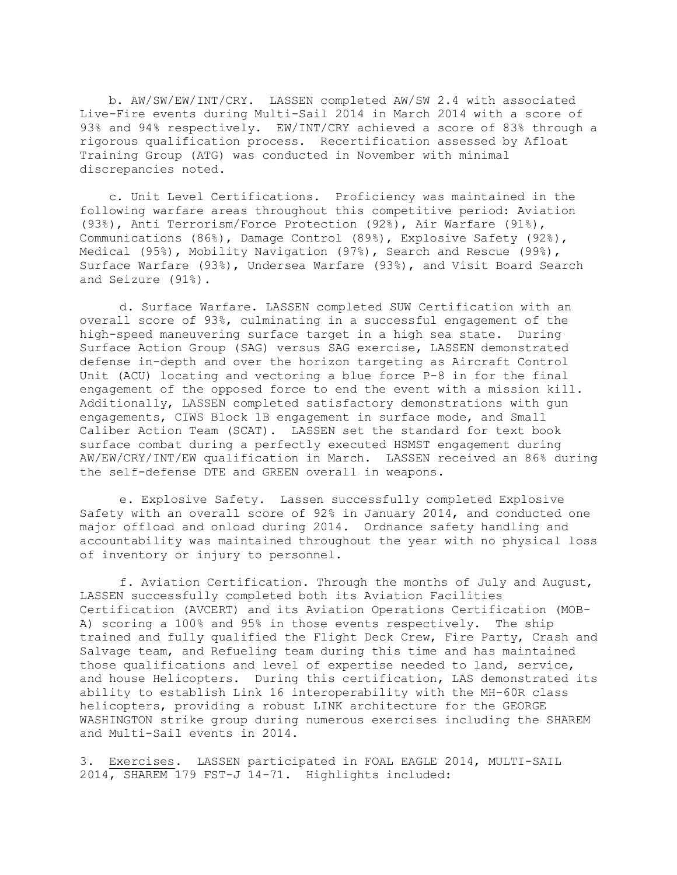b. AW/SW/EW/INT/CRY. LASSEN completed AW/SW 2.4 with associated Live-Fire events during Multi-Sail 2014 in March 2014 with a score of 93% and 94% respectively. EW/INT/CRY achieved a score of 83% through a rigorous qualification process. Recertification assessed by Afloat Training Group (ATG) was conducted in November with minimal discrepancies noted.

 c. Unit Level Certifications. Proficiency was maintained in the following warfare areas throughout this competitive period: Aviation (93%), Anti Terrorism/Force Protection (92%), Air Warfare (91%), Communications (86%), Damage Control (89%), Explosive Safety (92%), Medical (95%), Mobility Navigation (97%), Search and Rescue (99%), Surface Warfare (93%), Undersea Warfare (93%), and Visit Board Search and Seizure (91%).

d. Surface Warfare. LASSEN completed SUW Certification with an overall score of 93%, culminating in a successful engagement of the high-speed maneuvering surface target in a high sea state. During Surface Action Group (SAG) versus SAG exercise, LASSEN demonstrated defense in-depth and over the horizon targeting as Aircraft Control Unit (ACU) locating and vectoring a blue force P-8 in for the final engagement of the opposed force to end the event with a mission kill. Additionally, LASSEN completed satisfactory demonstrations with gun engagements, CIWS Block 1B engagement in surface mode, and Small Caliber Action Team (SCAT). LASSEN set the standard for text book surface combat during a perfectly executed HSMST engagement during AW/EW/CRY/INT/EW qualification in March. LASSEN received an 86% during the self-defense DTE and GREEN overall in weapons.

e. Explosive Safety. Lassen successfully completed Explosive Safety with an overall score of 92% in January 2014, and conducted one major offload and onload during 2014. Ordnance safety handling and accountability was maintained throughout the year with no physical loss of inventory or injury to personnel.

f. Aviation Certification. Through the months of July and August, LASSEN successfully completed both its Aviation Facilities Certification (AVCERT) and its Aviation Operations Certification (MOB-A) scoring a 100% and 95% in those events respectively. The ship trained and fully qualified the Flight Deck Crew, Fire Party, Crash and Salvage team, and Refueling team during this time and has maintained those qualifications and level of expertise needed to land, service, and house Helicopters. During this certification, LAS demonstrated its ability to establish Link 16 interoperability with the MH-60R class helicopters, providing a robust LINK architecture for the GEORGE WASHINGTON strike group during numerous exercises including the SHAREM and Multi-Sail events in 2014.

3. Exercises. LASSEN participated in FOAL EAGLE 2014, MULTI-SAIL 2014, SHAREM 179 FST-J 14-71. Highlights included: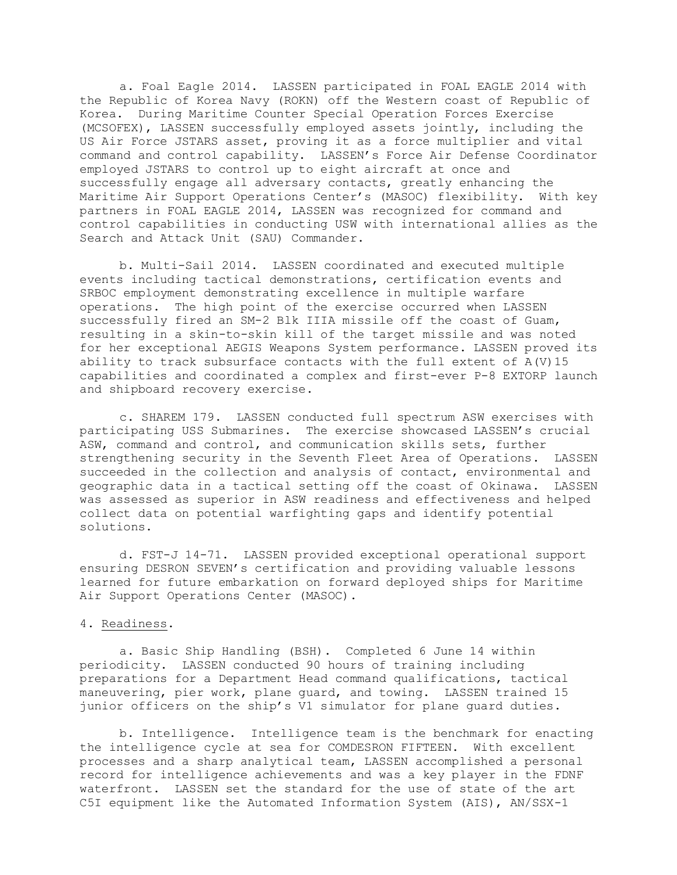a. Foal Eagle 2014. LASSEN participated in FOAL EAGLE 2014 with the Republic of Korea Navy (ROKN) off the Western coast of Republic of Korea. During Maritime Counter Special Operation Forces Exercise (MCSOFEX), LASSEN successfully employed assets jointly, including the US Air Force JSTARS asset, proving it as a force multiplier and vital command and control capability. LASSEN's Force Air Defense Coordinator employed JSTARS to control up to eight aircraft at once and successfully engage all adversary contacts, greatly enhancing the Maritime Air Support Operations Center's (MASOC) flexibility. With key partners in FOAL EAGLE 2014, LASSEN was recognized for command and control capabilities in conducting USW with international allies as the Search and Attack Unit (SAU) Commander.

b. Multi-Sail 2014. LASSEN coordinated and executed multiple events including tactical demonstrations, certification events and SRBOC employment demonstrating excellence in multiple warfare operations. The high point of the exercise occurred when LASSEN successfully fired an SM-2 Blk IIIA missile off the coast of Guam, resulting in a skin-to-skin kill of the target missile and was noted for her exceptional AEGIS Weapons System performance. LASSEN proved its ability to track subsurface contacts with the full extent of A(V)15 capabilities and coordinated a complex and first-ever P-8 EXTORP launch and shipboard recovery exercise.

c. SHAREM 179. LASSEN conducted full spectrum ASW exercises with participating USS Submarines. The exercise showcased LASSEN's crucial ASW, command and control, and communication skills sets, further strengthening security in the Seventh Fleet Area of Operations. LASSEN succeeded in the collection and analysis of contact, environmental and geographic data in a tactical setting off the coast of Okinawa. LASSEN was assessed as superior in ASW readiness and effectiveness and helped collect data on potential warfighting gaps and identify potential solutions.

d. FST-J 14-71. LASSEN provided exceptional operational support ensuring DESRON SEVEN's certification and providing valuable lessons learned for future embarkation on forward deployed ships for Maritime Air Support Operations Center (MASOC).

### 4. Readiness.

a. Basic Ship Handling (BSH). Completed 6 June 14 within periodicity. LASSEN conducted 90 hours of training including preparations for a Department Head command qualifications, tactical maneuvering, pier work, plane guard, and towing. LASSEN trained 15 junior officers on the ship's V1 simulator for plane guard duties.

b. Intelligence. Intelligence team is the benchmark for enacting the intelligence cycle at sea for COMDESRON FIFTEEN. With excellent processes and a sharp analytical team, LASSEN accomplished a personal record for intelligence achievements and was a key player in the FDNF waterfront. LASSEN set the standard for the use of state of the art C5I equipment like the Automated Information System (AIS), AN/SSX-1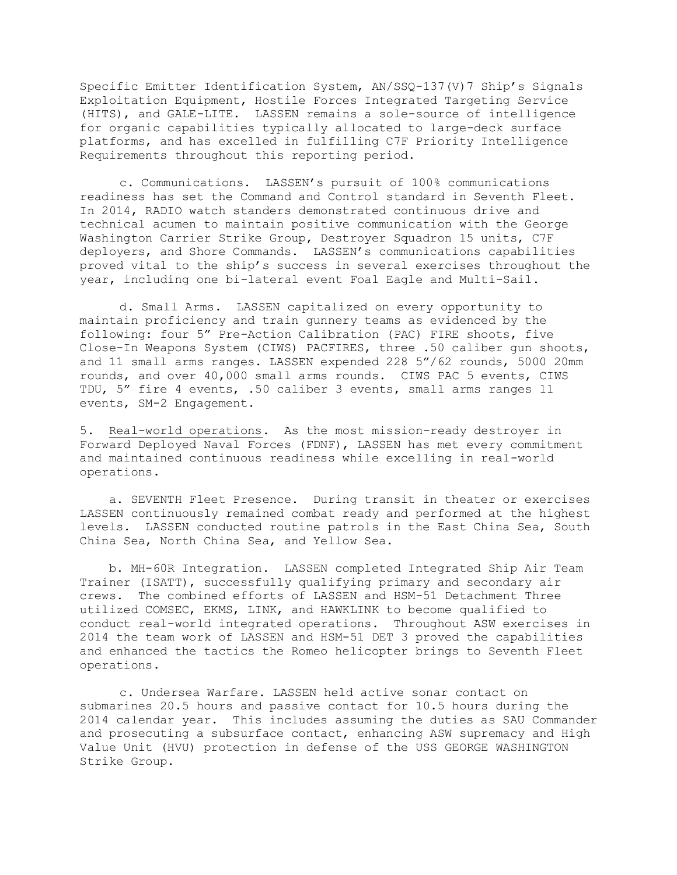Specific Emitter Identification System, AN/SSQ-137(V)7 Ship's Signals Exploitation Equipment, Hostile Forces Integrated Targeting Service (HITS), and GALE-LITE. LASSEN remains a sole-source of intelligence for organic capabilities typically allocated to large-deck surface platforms, and has excelled in fulfilling C7F Priority Intelligence Requirements throughout this reporting period.

c. Communications. LASSEN's pursuit of 100% communications readiness has set the Command and Control standard in Seventh Fleet. In 2014, RADIO watch standers demonstrated continuous drive and technical acumen to maintain positive communication with the George Washington Carrier Strike Group, Destroyer Squadron 15 units, C7F deployers, and Shore Commands. LASSEN's communications capabilities proved vital to the ship's success in several exercises throughout the year, including one bi-lateral event Foal Eagle and Multi-Sail.

d. Small Arms. LASSEN capitalized on every opportunity to maintain proficiency and train gunnery teams as evidenced by the following: four 5" Pre-Action Calibration (PAC) FIRE shoots, five Close-In Weapons System (CIWS) PACFIRES, three .50 caliber gun shoots, and 11 small arms ranges. LASSEN expended 228 5"/62 rounds, 5000 20mm rounds, and over 40,000 small arms rounds. CIWS PAC 5 events, CIWS TDU, 5" fire 4 events, .50 caliber 3 events, small arms ranges 11 events, SM-2 Engagement.

5. Real-world operations. As the most mission-ready destroyer in Forward Deployed Naval Forces (FDNF), LASSEN has met every commitment and maintained continuous readiness while excelling in real-world operations.

 a. SEVENTH Fleet Presence. During transit in theater or exercises LASSEN continuously remained combat ready and performed at the highest levels. LASSEN conducted routine patrols in the East China Sea, South China Sea, North China Sea, and Yellow Sea.

 b. MH-60R Integration. LASSEN completed Integrated Ship Air Team Trainer (ISATT), successfully qualifying primary and secondary air crews. The combined efforts of LASSEN and HSM-51 Detachment Three utilized COMSEC, EKMS, LINK, and HAWKLINK to become qualified to conduct real-world integrated operations. Throughout ASW exercises in 2014 the team work of LASSEN and HSM-51 DET 3 proved the capabilities and enhanced the tactics the Romeo helicopter brings to Seventh Fleet operations.

c. Undersea Warfare. LASSEN held active sonar contact on submarines 20.5 hours and passive contact for 10.5 hours during the 2014 calendar year. This includes assuming the duties as SAU Commander and prosecuting a subsurface contact, enhancing ASW supremacy and High Value Unit (HVU) protection in defense of the USS GEORGE WASHINGTON Strike Group.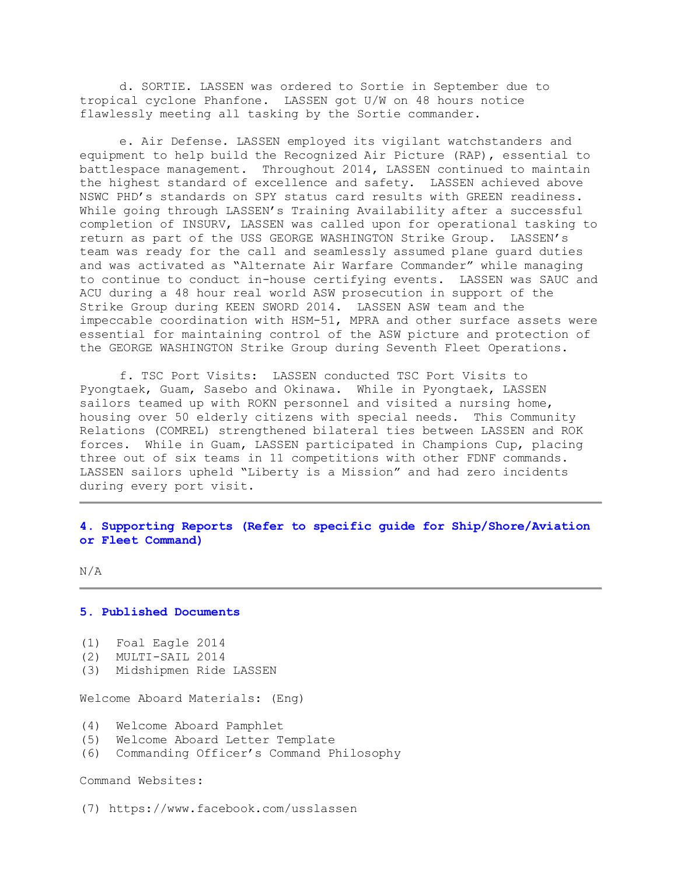d. SORTIE. LASSEN was ordered to Sortie in September due to tropical cyclone Phanfone. LASSEN got U/W on 48 hours notice flawlessly meeting all tasking by the Sortie commander.

e. Air Defense. LASSEN employed its vigilant watchstanders and equipment to help build the Recognized Air Picture (RAP), essential to battlespace management. Throughout 2014, LASSEN continued to maintain the highest standard of excellence and safety. LASSEN achieved above NSWC PHD's standards on SPY status card results with GREEN readiness. While going through LASSEN's Training Availability after a successful completion of INSURV, LASSEN was called upon for operational tasking to return as part of the USS GEORGE WASHINGTON Strike Group. LASSEN's team was ready for the call and seamlessly assumed plane guard duties and was activated as "Alternate Air Warfare Commander" while managing to continue to conduct in-house certifying events. LASSEN was SAUC and ACU during a 48 hour real world ASW prosecution in support of the Strike Group during KEEN SWORD 2014. LASSEN ASW team and the impeccable coordination with HSM-51, MPRA and other surface assets were essential for maintaining control of the ASW picture and protection of the GEORGE WASHINGTON Strike Group during Seventh Fleet Operations.

f. TSC Port Visits: LASSEN conducted TSC Port Visits to Pyongtaek, Guam, Sasebo and Okinawa. While in Pyongtaek, LASSEN sailors teamed up with ROKN personnel and visited a nursing home, housing over 50 elderly citizens with special needs. This Community Relations (COMREL) strengthened bilateral ties between LASSEN and ROK forces. While in Guam, LASSEN participated in Champions Cup, placing three out of six teams in 11 competitions with other FDNF commands. LASSEN sailors upheld "Liberty is a Mission" and had zero incidents during every port visit.

# **4. Supporting Reports (Refer to specific guide for Ship/Shore/Aviation or Fleet Command)**

N/A

#### **5. Published Documents**

```
(1) Foal Eagle 2014
```
- (2) MULTI-SAIL 2014
- (3) Midshipmen Ride LASSEN

Welcome Aboard Materials: (Eng)

- (4) Welcome Aboard Pamphlet
- (5) Welcome Aboard Letter Template
- (6) Commanding Officer's Command Philosophy

Command Websites:

(7) https://www.facebook.com/usslassen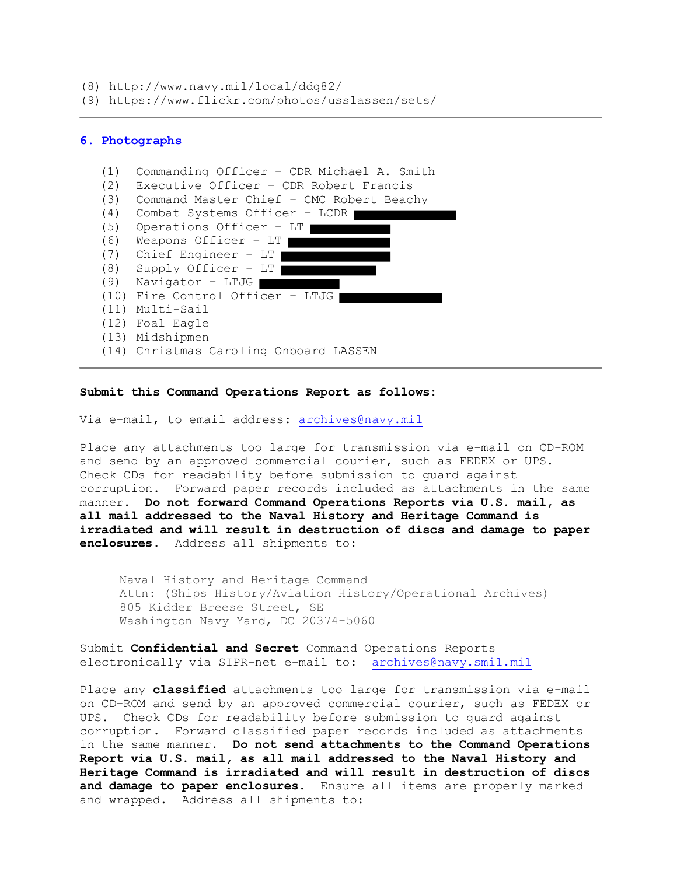(8) http://www.navy.mil/local/ddg82/

(9) https://www.flickr.com/photos/usslassen/sets/

# **6. Photographs**

| (1) | Commanding Officer - CDR Michael A. Smith |
|-----|-------------------------------------------|
| (2) | Executive Officer - CDR Robert Francis    |
| (3) | Command Master Chief - CMC Robert Beachy  |
| (4) | Combat Systems Officer - LCDR             |
| (5) | Operations Officer - LT                   |
| (6) | Weapons Officer $-$ LT $\mid$             |
| (7) | Chief Engineer $-$ LT $\mid$              |
| (8) | Supply Officer - LT                       |
| (9) | Navigator - LTJG                          |
|     | (10) Fire Control Officer - LTJG          |
|     | (11) Multi-Sail                           |
|     | (12) Foal Eagle                           |
|     | (13) Midshipmen                           |
|     | (14) Christmas Caroling Onboard LASSEN    |

## **Submit this Command Operations Report as follows:**

Via e-mail, to email address: archives@navy.mil

Place any attachments too large for transmission via e-mail on CD-ROM and send by an approved commercial courier, such as FEDEX or UPS. Check CDs for readability before submission to guard against corruption. Forward paper records included as attachments in the same manner. **Do not forward Command Operations Reports via U.S. mail, as all mail addressed to the Naval History and Heritage Command is irradiated and will result in destruction of discs and damage to paper enclosures.** Address all shipments to:

Naval History and Heritage Command Attn: (Ships History/Aviation History/Operational Archives) 805 Kidder Breese Street, SE Washington Navy Yard, DC 20374-5060

Submit **Confidential and Secret** Command Operations Reports electronically via SIPR-net e-mail to: archives@navy.smil.mil

Place any **classified** attachments too large for transmission via e-mail on CD-ROM and send by an approved commercial courier, such as FEDEX or UPS. Check CDs for readability before submission to guard against corruption. Forward classified paper records included as attachments in the same manner. **Do not send attachments to the Command Operations Report via U.S. mail, as all mail addressed to the Naval History and Heritage Command is irradiated and will result in destruction of discs and damage to paper enclosures.** Ensure all items are properly marked and wrapped. Address all shipments to: